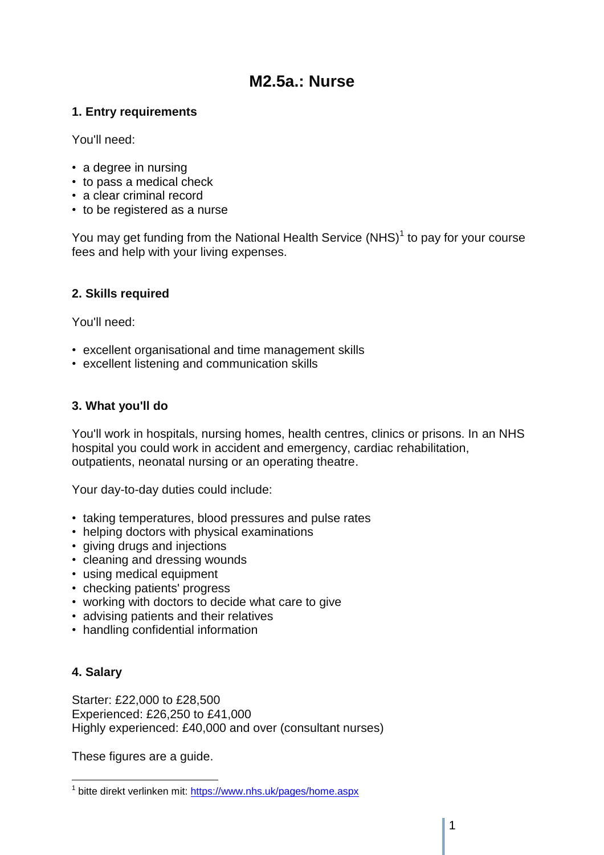# **M2.5a.: Nurse**

# **1. Entry requirements**

You'll need:

- a degree in nursing
- to pass a medical check
- a clear criminal record
- to be registered as a nurse

You may get funding from the National Health Service  $(NHS)^1$  to pay for your course fees and help with your living expenses.

# **2. Skills required**

You'll need:

- excellent organisational and time management skills
- excellent listening and communication skills

# **3. What you'll do**

You'll work in hospitals, nursing homes, health centres, clinics or prisons. In an NHS hospital you could work in accident and emergency, cardiac rehabilitation, outpatients, neonatal nursing or an operating theatre.

Your day-to-day duties could include:

- taking temperatures, blood pressures and pulse rates
- helping doctors with physical examinations
- giving drugs and injections
- cleaning and dressing wounds
- using medical equipment
- checking patients' progress
- working with doctors to decide what care to give
- advising patients and their relatives
- handling confidential information

# **4. Salary**

Starter: £22,000 to £28,500 Experienced: £26,250 to £41,000 Highly experienced: £40,000 and over (consultant nurses)

These figures are a guide.

 $\overline{a}$ <sup>1</sup> bitte direkt verlinken mit:<https://www.nhs.uk/pages/home.aspx>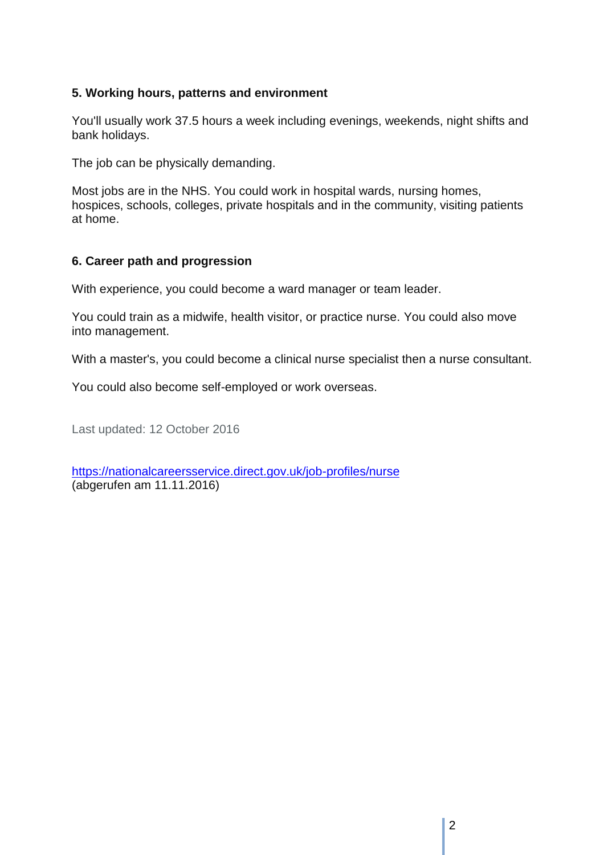# **5. Working hours, patterns and environment**

You'll usually work 37.5 hours a week including evenings, weekends, night shifts and bank holidays.

The job can be physically demanding.

Most jobs are in the NHS. You could work in hospital wards, nursing homes, hospices, schools, colleges, private hospitals and in the community, visiting patients at home.

#### **6. Career path and progression**

With experience, you could become a ward manager or team leader.

You could train as a midwife, health visitor, or practice nurse. You could also move into management.

With a master's, you could become a clinical nurse specialist then a nurse consultant.

You could also become self-employed or work overseas.

Last updated: 12 October 2016

<https://nationalcareersservice.direct.gov.uk/job-profiles/nurse> (abgerufen am 11.11.2016)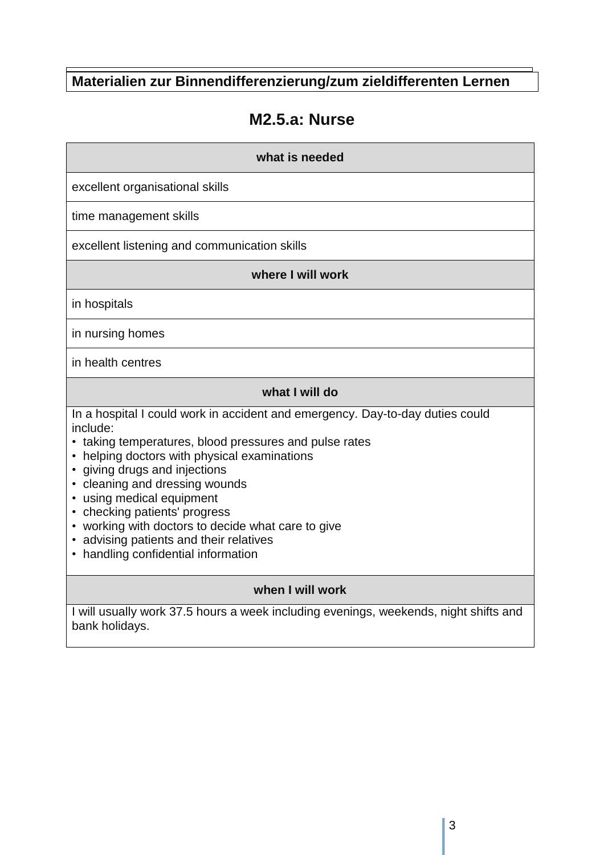**Materialien zur Binnendifferenzierung/zum zieldifferenten Lernen**

# **M2.5.a: Nurse**

#### **what is needed**

excellent organisational skills

time management skills

excellent listening and communication skills

#### **where I will work**

in hospitals

in nursing homes

in health centres

# **what I will do**

In a hospital I could work in accident and emergency. Day-to-day duties could include:

- taking temperatures, blood pressures and pulse rates
- helping doctors with physical examinations
- giving drugs and injections
- cleaning and dressing wounds
- using medical equipment
- checking patients' progress
- working with doctors to decide what care to give
- advising patients and their relatives
- handling confidential information

# **when I will work**

I will usually work 37.5 hours a week including evenings, weekends, night shifts and bank holidays.